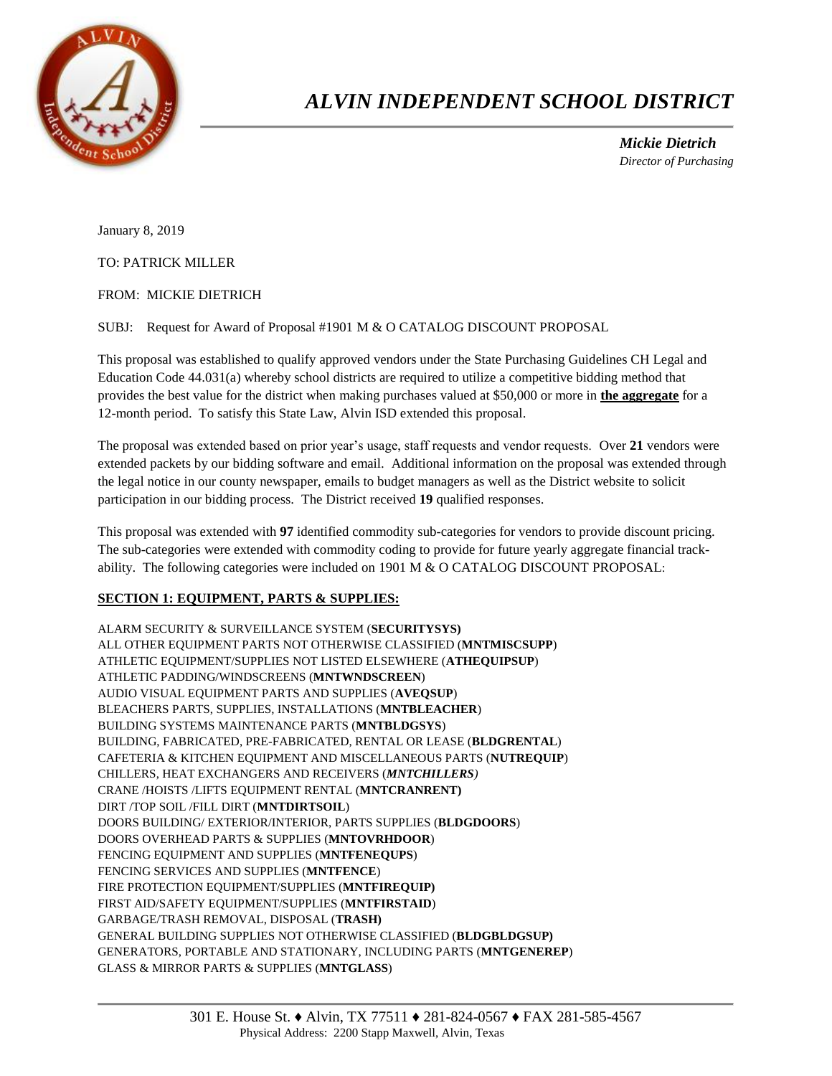

## *ALVIN INDEPENDENT SCHOOL DISTRICT*

 *Mickie Dietrich Director of Purchasing*

January 8, 2019

TO: PATRICK MILLER

FROM: MICKIE DIETRICH

SUBJ: Request for Award of Proposal #1901 M & O CATALOG DISCOUNT PROPOSAL

This proposal was established to qualify approved vendors under the State Purchasing Guidelines CH Legal and Education Code 44.031(a) whereby school districts are required to utilize a competitive bidding method that provides the best value for the district when making purchases valued at \$50,000 or more in **the aggregate** for a 12-month period. To satisfy this State Law, Alvin ISD extended this proposal.

The proposal was extended based on prior year's usage, staff requests and vendor requests. Over **21** vendors were extended packets by our bidding software and email. Additional information on the proposal was extended through the legal notice in our county newspaper, emails to budget managers as well as the District website to solicit participation in our bidding process. The District received **19** qualified responses.

This proposal was extended with **97** identified commodity sub-categories for vendors to provide discount pricing. The sub-categories were extended with commodity coding to provide for future yearly aggregate financial trackability. The following categories were included on 1901 M & O CATALOG DISCOUNT PROPOSAL:

## **SECTION 1: EQUIPMENT, PARTS & SUPPLIES:**

ALARM SECURITY & SURVEILLANCE SYSTEM (**SECURITYSYS)** ALL OTHER EQUIPMENT PARTS NOT OTHERWISE CLASSIFIED (**MNTMISCSUPP**) ATHLETIC EQUIPMENT/SUPPLIES NOT LISTED ELSEWHERE (**ATHEQUIPSUP**) ATHLETIC PADDING/WINDSCREENS (**MNTWNDSCREEN**) AUDIO VISUAL EQUIPMENT PARTS AND SUPPLIES (**AVEQSUP**) BLEACHERS PARTS, SUPPLIES, INSTALLATIONS (**MNTBLEACHER**) BUILDING SYSTEMS MAINTENANCE PARTS (**MNTBLDGSYS**) BUILDING, FABRICATED, PRE-FABRICATED, RENTAL OR LEASE (**BLDGRENTAL**) CAFETERIA & KITCHEN EQUIPMENT AND MISCELLANEOUS PARTS (**NUTREQUIP**) CHILLERS, HEAT EXCHANGERS AND RECEIVERS (*MNTCHILLERS)* CRANE /HOISTS /LIFTS EQUIPMENT RENTAL (**MNTCRANRENT)** DIRT /TOP SOIL /FILL DIRT (**MNTDIRTSOIL**) DOORS BUILDING/ EXTERIOR/INTERIOR, PARTS SUPPLIES (**BLDGDOORS**) DOORS OVERHEAD PARTS & SUPPLIES (**MNTOVRHDOOR**) FENCING EQUIPMENT AND SUPPLIES (**MNTFENEQUPS**) FENCING SERVICES AND SUPPLIES (**MNTFENCE**) FIRE PROTECTION EQUIPMENT/SUPPLIES (**MNTFIREQUIP)** FIRST AID/SAFETY EQUIPMENT/SUPPLIES (**MNTFIRSTAID**) GARBAGE/TRASH REMOVAL, DISPOSAL (**TRASH)** GENERAL BUILDING SUPPLIES NOT OTHERWISE CLASSIFIED (**BLDGBLDGSUP)** GENERATORS, PORTABLE AND STATIONARY, INCLUDING PARTS (**MNTGENEREP**) GLASS & MIRROR PARTS & SUPPLIES (**MNTGLASS**)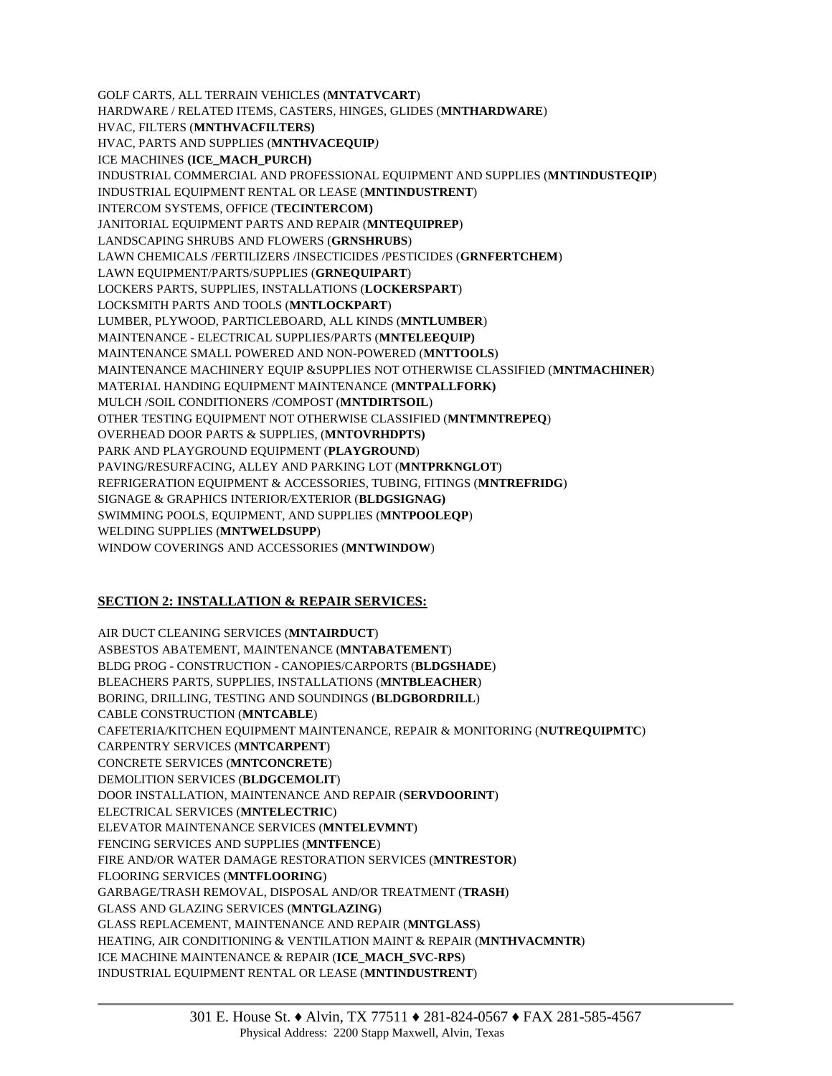GOLF CARTS, ALL TERRAIN VEHICLES (**MNTATVCART**) HARDWARE / RELATED ITEMS, CASTERS, HINGES, GLIDES (**MNTHARDWARE**) HVAC, FILTERS (**MNTHVACFILTERS)** HVAC, PARTS AND SUPPLIES (**MNTHVACEQUIP***)* ICE MACHINES **(ICE\_MACH\_PURCH)** INDUSTRIAL COMMERCIAL AND PROFESSIONAL EQUIPMENT AND SUPPLIES (**MNTINDUSTEQIP**) INDUSTRIAL EQUIPMENT RENTAL OR LEASE (**MNTINDUSTRENT**) INTERCOM SYSTEMS, OFFICE (**TECINTERCOM)** JANITORIAL EQUIPMENT PARTS AND REPAIR (**MNTEQUIPREP**) LANDSCAPING SHRUBS AND FLOWERS (**GRNSHRUBS**) LAWN CHEMICALS /FERTILIZERS /INSECTICIDES /PESTICIDES (**GRNFERTCHEM**) LAWN EQUIPMENT/PARTS/SUPPLIES (**GRNEQUIPART**) LOCKERS PARTS, SUPPLIES, INSTALLATIONS (**LOCKERSPART**) LOCKSMITH PARTS AND TOOLS (**MNTLOCKPART**) LUMBER, PLYWOOD, PARTICLEBOARD, ALL KINDS (**MNTLUMBER**) MAINTENANCE - ELECTRICAL SUPPLIES/PARTS (**MNTELEEQUIP)** MAINTENANCE SMALL POWERED AND NON-POWERED (**MNTTOOLS**) MAINTENANCE MACHINERY EQUIP &SUPPLIES NOT OTHERWISE CLASSIFIED (**MNTMACHINER**) MATERIAL HANDING EQUIPMENT MAINTENANCE (**MNTPALLFORK)** MULCH /SOIL CONDITIONERS /COMPOST (**MNTDIRTSOIL**) OTHER TESTING EQUIPMENT NOT OTHERWISE CLASSIFIED (**MNTMNTREPEQ**) OVERHEAD DOOR PARTS & SUPPLIES, (**MNTOVRHDPTS)** PARK AND PLAYGROUND EQUIPMENT (**PLAYGROUND**) PAVING/RESURFACING, ALLEY AND PARKING LOT (**MNTPRKNGLOT**) REFRIGERATION EQUIPMENT & ACCESSORIES, TUBING, FITINGS (**MNTREFRIDG**) SIGNAGE & GRAPHICS INTERIOR/EXTERIOR (**BLDGSIGNAG)** SWIMMING POOLS, EQUIPMENT, AND SUPPLIES (**MNTPOOLEQP**) WELDING SUPPLIES (**MNTWELDSUPP**) WINDOW COVERINGS AND ACCESSORIES (**MNTWINDOW**)

## **SECTION 2: INSTALLATION & REPAIR SERVICES:**

AIR DUCT CLEANING SERVICES (**MNTAIRDUCT**) ASBESTOS ABATEMENT, MAINTENANCE (**MNTABATEMENT**) BLDG PROG - CONSTRUCTION - CANOPIES/CARPORTS (**BLDGSHADE**) BLEACHERS PARTS, SUPPLIES, INSTALLATIONS (**MNTBLEACHER**) BORING, DRILLING, TESTING AND SOUNDINGS (**BLDGBORDRILL**) CABLE CONSTRUCTION (**MNTCABLE**) CAFETERIA/KITCHEN EQUIPMENT MAINTENANCE, REPAIR & MONITORING (**NUTREQUIPMTC**) CARPENTRY SERVICES (**MNTCARPENT**) CONCRETE SERVICES (**MNTCONCRETE**) DEMOLITION SERVICES (**BLDGCEMOLIT**) DOOR INSTALLATION, MAINTENANCE AND REPAIR (**SERVDOORINT**) ELECTRICAL SERVICES (**MNTELECTRIC**) ELEVATOR MAINTENANCE SERVICES (**MNTELEVMNT**) FENCING SERVICES AND SUPPLIES (**MNTFENCE**) FIRE AND/OR WATER DAMAGE RESTORATION SERVICES (**MNTRESTOR**) FLOORING SERVICES (**MNTFLOORING**) GARBAGE/TRASH REMOVAL, DISPOSAL AND/OR TREATMENT (**TRASH**) GLASS AND GLAZING SERVICES (**MNTGLAZING**) GLASS REPLACEMENT, MAINTENANCE AND REPAIR (**MNTGLASS**) HEATING, AIR CONDITIONING & VENTILATION MAINT & REPAIR (**MNTHVACMNTR**) ICE MACHINE MAINTENANCE & REPAIR (**ICE\_MACH\_SVC-RPS**) INDUSTRIAL EQUIPMENT RENTAL OR LEASE (**MNTINDUSTRENT**)